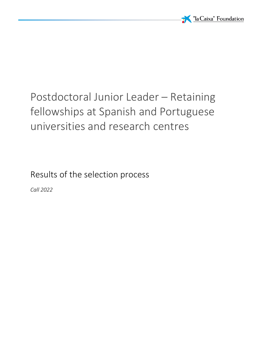

# Postdoctoral Junior Leader – Retaining fellowships at Spanish and Portuguese universities and research centres

Results of the selection process

*Call 2022*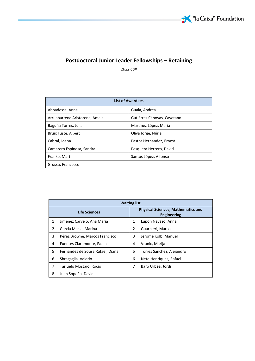

# **Postdoctoral Junior Leader Fellowships – Retaining**

*2022 Call* 

| <b>List of Awardees</b>        |                             |  |  |  |
|--------------------------------|-----------------------------|--|--|--|
| Abbadessa, Anna                | Guala, Andrea               |  |  |  |
| Arruabarrena Aristorena, Amaia | Gutiérrez Cánovas, Cayetano |  |  |  |
| Baguña Torres, Julia           | Martínez López, Maria       |  |  |  |
| Bruix Fuste, Albert            | Oliva Jorge, Núria          |  |  |  |
| Cabral, Joana                  | Pastor Hernández, Ernest    |  |  |  |
| Camarero Espinosa, Sandra      | Pesquera Herrero, David     |  |  |  |
| Franke, Martin                 | Santos López, Alfonso       |  |  |  |
| Grussu, Francesco              |                             |  |  |  |

| <b>Waiting list</b> |                                  |               |                                                                 |  |  |
|---------------------|----------------------------------|---------------|-----------------------------------------------------------------|--|--|
|                     | <b>Life Sciences</b>             |               | <b>Physical Sciences, Mathematics and</b><br><b>Engineering</b> |  |  |
| $\mathbf{1}$        | Jiménez Carvelo, Ana María       | 1             | Lupon Navazo, Anna                                              |  |  |
| $\overline{2}$      | García Macía, Marina             | $\mathcal{P}$ | Guarnieri, Marco                                                |  |  |
| 3                   | Pérez Browne, Marcos Francisco   | 3             | Jerome Kolb, Manuel                                             |  |  |
| 4                   | Fuentes Claramonte, Paola        | 4             | Vranic, Marija                                                  |  |  |
| 5                   | Fernandes de Sousa Rafael, Diana | 5             | Torres Sánchez, Alejandro                                       |  |  |
| 6                   | Sbragaglia, Valerio              | 6             | Neto Henriques, Rafael                                          |  |  |
| 7                   | Tarjuelo Mostajo, Rocío          | 7             | Baró Urbea, Jordi                                               |  |  |
| 8                   | Juan Sopeña, David               |               |                                                                 |  |  |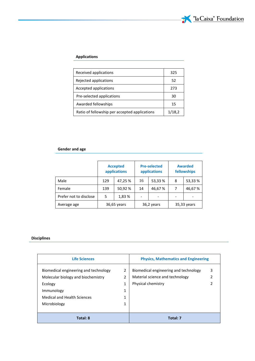

## **Applications**

| Received applications                         | 325    |
|-----------------------------------------------|--------|
| Rejected applications                         | 52     |
| Accepted applications                         | 273    |
| Pre-selected applications                     | 30     |
| Awarded fellowships                           | 15     |
| Ratio of fellowship per accepted applications | 1/18.2 |

## **Gender and age**

|                        | <b>Accepted</b><br>applications |         | <b>Pre-selected</b><br>applications |         | <b>Awarded</b><br>fellowships |         |
|------------------------|---------------------------------|---------|-------------------------------------|---------|-------------------------------|---------|
| Male                   | 129                             | 47,25 % | 16                                  | 53,33 % | 8                             | 53,33 % |
| Female                 | 139                             | 50,92 % | 14                                  | 46,67%  |                               | 46,67%  |
| Prefer not to disclose | 5                               | 1,83 %  |                                     |         |                               |         |
| Average age            | 36,65 years                     |         | 36,2 years                          |         | 35,33 years                   |         |

#### **Disciplines**

| <b>Life Sciences</b>                  |   | <b>Physics, Mathematics and Engineering</b> |                |  |
|---------------------------------------|---|---------------------------------------------|----------------|--|
| Biomedical engineering and technology | 2 | Biomedical engineering and technology       | 3              |  |
| Molecular biology and biochemistry    | 2 | Material science and technology             | $\overline{2}$ |  |
| Ecology                               | 1 | Physical chemistry                          | 2              |  |
| Immunology                            | 1 |                                             |                |  |
| <b>Medical and Health Sciences</b>    | 1 |                                             |                |  |
| Microbiology                          | 1 |                                             |                |  |
|                                       |   |                                             |                |  |
| Total: 8                              |   | Total: 7                                    |                |  |